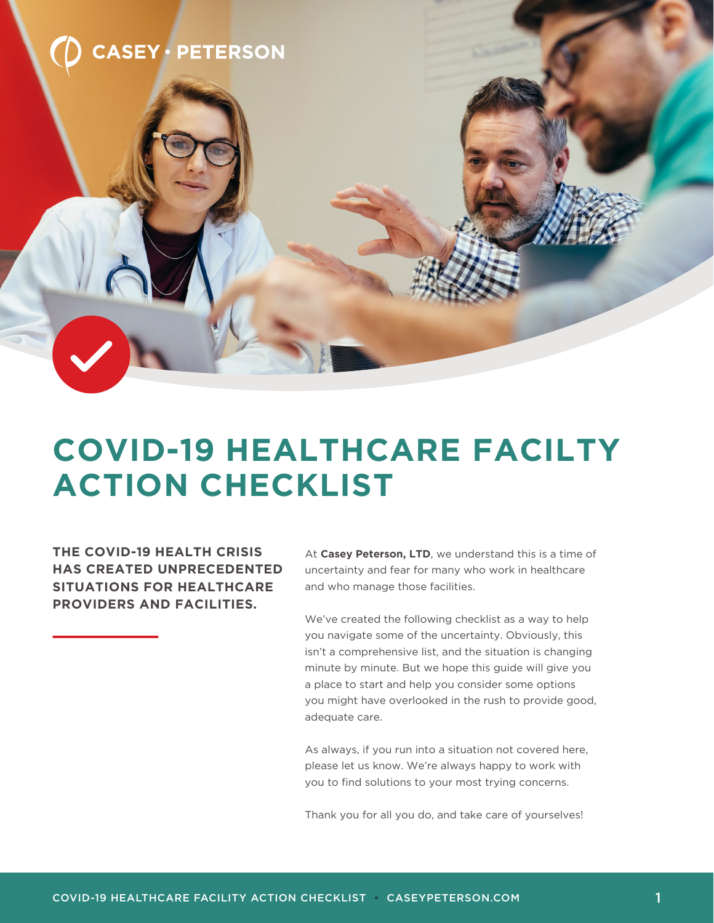

### **COVID-19 HEALTHCARE FACILTY ACTION CHECKLIST**

**THE COVID-19 HEALTH CRISIS HAS CREATED UNPRECEDENTED SITUATIONS FOR HEALTHCARE PROVIDERS AND FACILITIES.**

At **Casey Peterson, LTD**, we understand this is a time of uncertainty and fear for many who work in healthcare and who manage those facilities.

We've created the following checklist as a way to help you navigate some of the uncertainty. Obviously, this isn't a comprehensive list, and the situation is changing minute by minute. But we hope this guide will give you a place to start and help you consider some options you might have overlooked in the rush to provide good, adequate care.

As always, if you run into a situation not covered here, please let us know. We're always happy to work with you to find solutions to your most trying concerns.

Thank you for all you do, and take care of yourselves!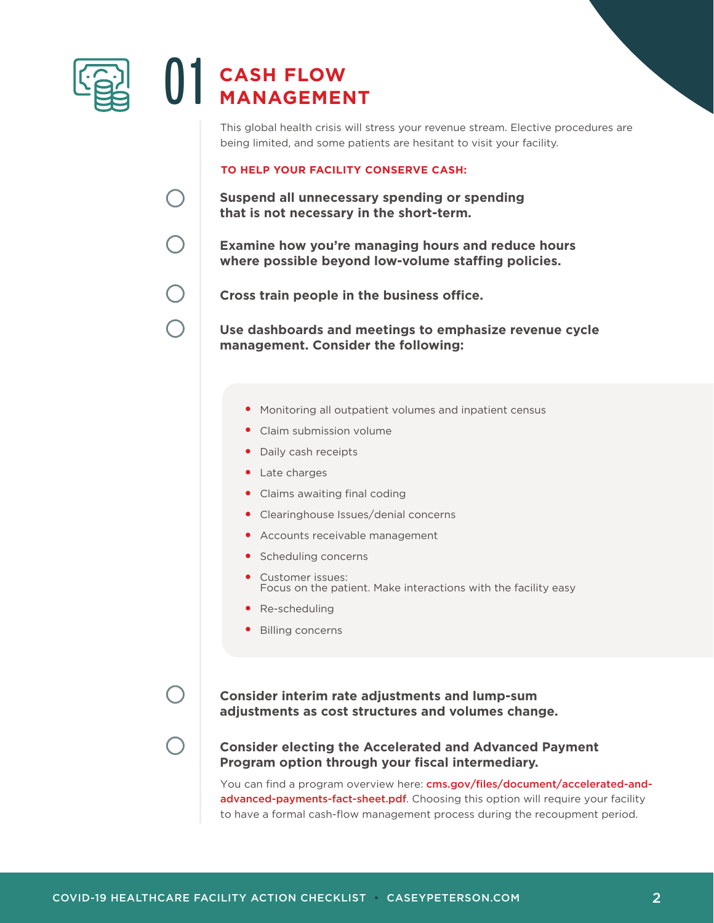

# $\bigcup$  **CASH FLOW**

This global health crisis will stress your revenue stream. Elective procedures are being limited, and some patients are hesitant to visit your facility.

#### **TO HELP YOUR FACILITY CONSERVE CASH:**

**Suspend all unnecessary spending or spending that is not necessary in the short-term.**

**Examine how you're managing hours and reduce hours where possible beyond low-volume staffing policies.**

**Cross train people in the business office.**

**Use dashboards and meetings to emphasize revenue cycle management. Consider the following:**

- Monitoring all outpatient volumes and inpatient census **•**
- Claim submission volume **•**
- Daily cash receipts **•**
- Late charges **•**
- Claims awaiting final coding **•**
- Clearinghouse Issues/denial concerns **•**
- Accounts receivable management **•**
- **•** Scheduling concerns
- Customer issues: **•** Focus on the patient. Make interactions with the facility easy
- Re-scheduling **•**
- Billing concerns **•**

**Consider interim rate adjustments and lump-sum adjustments as cost structures and volumes change.** 

### **Consider electing the Accelerated and Advanced Payment Program option through your fiscal intermediary.**

You can find a program overview here: cms.gov/files/document/accelerated-andadvanced-payments-fact-sheet.pdf. Choosing this option will require your facility to have a formal cash-flow management process during the recoupment period.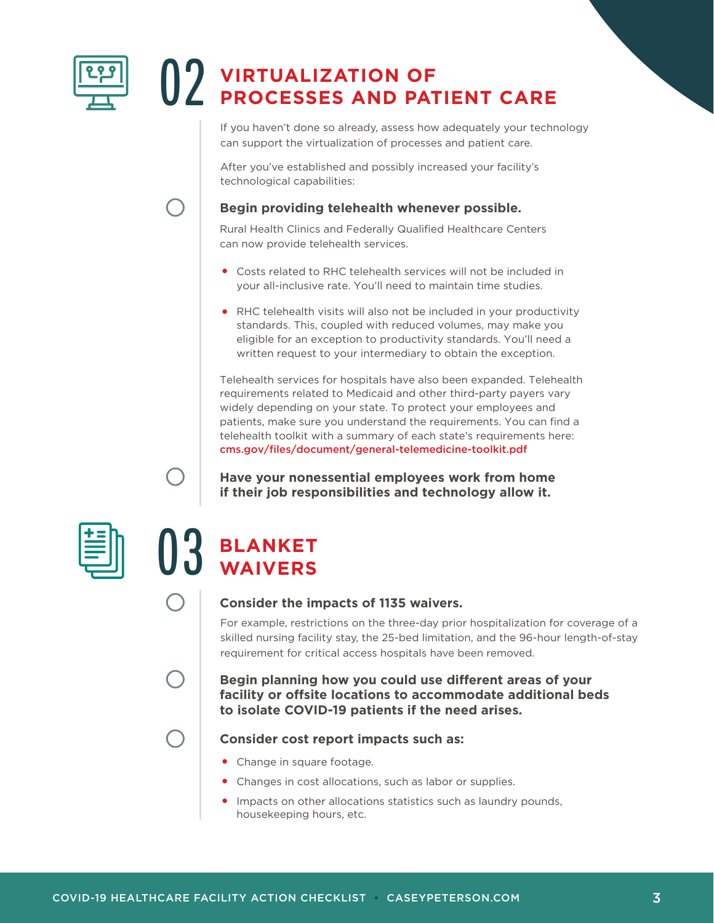

## **VIRTUALIZATION OF** 02 **PROCESSES AND PATIENT CARE**

If you haven't done so already, assess how adequately your technology can support the virtualization of processes and patient care.

After you've established and possibly increased your facility's technological capabilities:

### **Begin providing telehealth whenever possible.**

Rural Health Clinics and Federally Qualified Healthcare Centers can now provide telehealth services.

- Costs related to RHC telehealth services will not be included in **•** your all-inclusive rate. You'll need to maintain time studies.
- RHC telehealth visits will also not be included in your productivity **•** standards. This, coupled with reduced volumes, may make you eligible for an exception to productivity standards. You'll need a written request to your intermediary to obtain the exception.

Telehealth services for hospitals have also been expanded. Telehealth requirements related to Medicaid and other third-party payers vary widely depending on your state. To protect your employees and patients, make sure you understand the requirements. You can find a telehealth toolkit with a summary of each state's requirements here: cms.gov/files/document/general-telemedicine-toolkit.pdf

**Have your nonessential employees work from home if their job responsibilities and technology allow it.**



## **BLANKET** 03 **WAIVERS**

### **Consider the impacts of 1135 waivers.**

For example, restrictions on the three-day prior hospitalization for coverage of a skilled nursing facility stay, the 25-bed limitation, and the 96-hour length-of-stay requirement for critical access hospitals have been removed.

### **Begin planning how you could use different areas of your facility or offsite locations to accommodate additional beds to isolate COVID-19 patients if the need arises.**

### **Consider cost report impacts such as:**

- Change in square footage. **•**
- Changes in cost allocations, such as labor or supplies. **•**
- **•** Impacts on other allocations statistics such as laundry pounds, housekeeping hours, etc.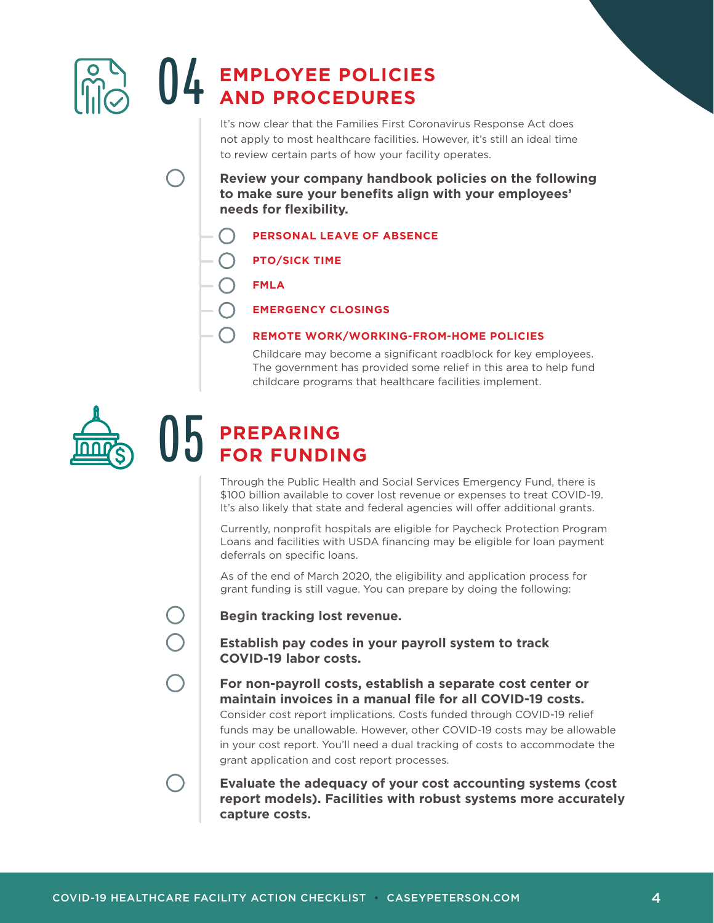

It's now clear that the Families First Coronavirus Response Act does not apply to most healthcare facilities. However, it's still an ideal time to review certain parts of how your facility operates.

**Review your company handbook policies on the following to make sure your benefits align with your employees' needs for flexibility.**

- **PERSONAL LEAVE OF ABSENCE**
- **PTO/SICK TIME**
- **FMLA**
	- **EMERGENCY CLOSINGS**

#### **REMOTE WORK/WORKING-FROM-HOME POLICIES**

Childcare may become a significant roadblock for key employees. The government has provided some relief in this area to help fund childcare programs that healthcare facilities implement.



### **PREPARING<br>FOR FUNDING**

Through the Public Health and Social Services Emergency Fund, there is \$100 billion available to cover lost revenue or expenses to treat COVID-19. It's also likely that state and federal agencies will offer additional grants.

Currently, nonprofit hospitals are eligible for Paycheck Protection Program Loans and facilities with USDA financing may be eligible for loan payment deferrals on specific loans.

As of the end of March 2020, the eligibility and application process for grant funding is still vague. You can prepare by doing the following:



#### **Begin tracking lost revenue.**

**Establish pay codes in your payroll system to track COVID-19 labor costs.**

**For non-payroll costs, establish a separate cost center or maintain invoices in a manual file for all COVID-19 costs.** Consider cost report implications. Costs funded through COVID-19 relief

funds may be unallowable. However, other COVID-19 costs may be allowable in your cost report. You'll need a dual tracking of costs to accommodate the grant application and cost report processes.

**Evaluate the adequacy of your cost accounting systems (cost report models). Facilities with robust systems more accurately capture costs.**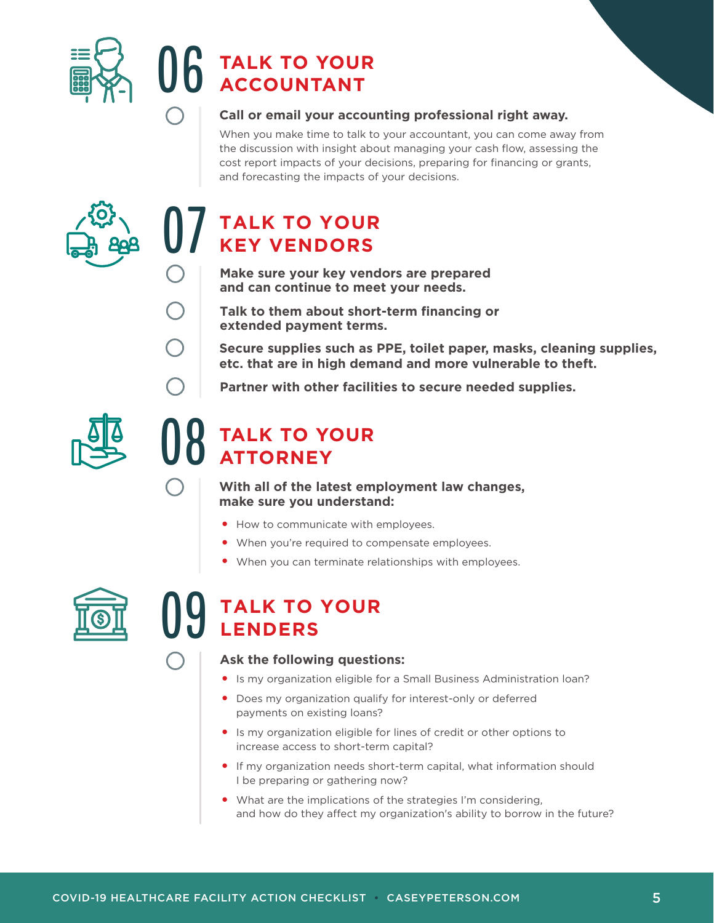

# **TALK TO YOUR<br>ACCOUNTANT**

### **Call or email your accounting professional right away.**

When you make time to talk to your accountant, you can come away from the discussion with insight about managing your cash flow, assessing the cost report impacts of your decisions, preparing for financing or grants, and forecasting the impacts of your decisions.



## **TALK TO YOUR**<br>**KEY VENDORS**

**Make sure your key vendors are prepared and can continue to meet your needs.**

**Talk to them about short-term financing or extended payment terms.**

**Secure supplies such as PPE, toilet paper, masks, cleaning supplies, etc. that are in high demand and more vulnerable to theft.**

**Partner with other facilities to secure needed supplies.**



### **TALK TO YOUR<br>ATTORNEY**

**With all of the latest employment law changes, make sure you understand:** 

- How to communicate with employees. **•**
- When you're required to compensate employees. **•**
- When you can terminate relationships with employees. **•**



### **TALK TO YOUR**<br>LENDERS

#### **Ask the following questions:**

- Is my organization eligible for a Small Business Administration loan? **•**
- Does my organization qualify for interest-only or deferred **•** payments on existing loans?
- Is my organization eligible for lines of credit or other options to **•** increase access to short-term capital?
- If my organization needs short-term capital, what information should **•** I be preparing or gathering now?
- What are the implications of the strategies I'm considering, **•**and how do they affect my organization's ability to borrow in the future?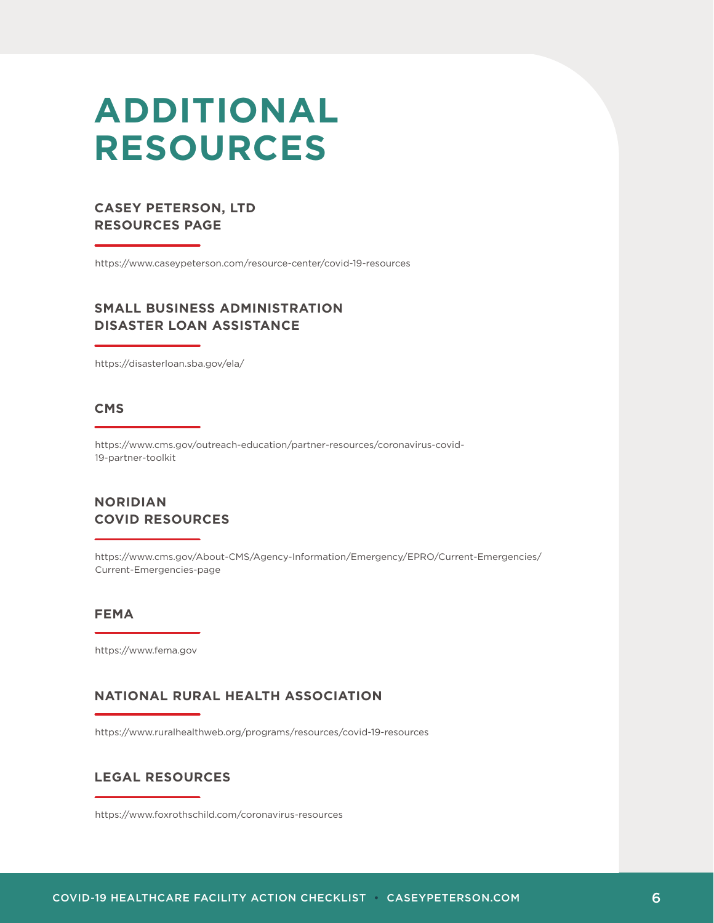### **ADDITIONAL RESOURCES**

### **CASEY PETERSON, LTD RESOURCES PAGE**

https://www.caseypeterson.com/resource-center/covid-19-resources

### **SMALL BUSINESS ADMINISTRATION DISASTER LOAN ASSISTANCE**

https://disasterloan.sba.gov/ela/

#### **CMS**

https://www.cms.gov/outreach-education/partner-resources/coronavirus-covid-19-partner-toolkit

### **NORIDIAN COVID RESOURCES**

https://www.cms.gov/About-CMS/Agency-Information/Emergency/EPRO/Current-Emergencies/ Current-Emergencies-page

#### **FEMA**

https://www.fema.gov

### **NATIONAL RURAL HEALTH ASSOCIATION**

https://www.ruralhealthweb.org/programs/resources/covid-19-resources

#### **LEGAL RESOURCES**

https://www.foxrothschild.com/coronavirus-resources